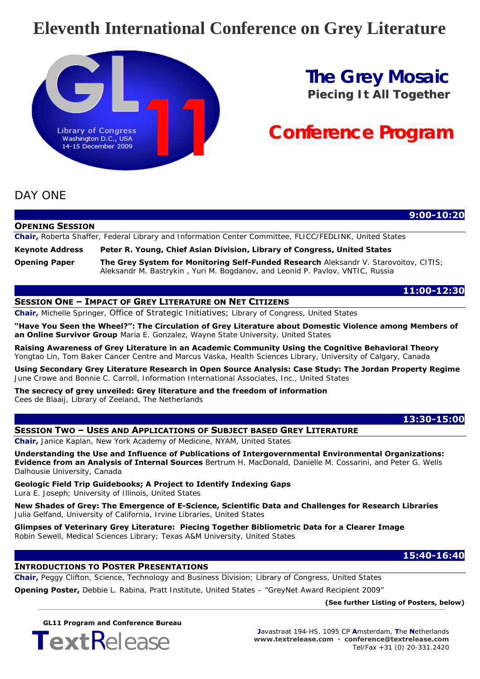## **Eleventh International Conference on Grey Literature**



## **The Grey Mosaic** *Piecing It All Together*

# **Conference Program**

## DAY ONE

|                        | $9:00 - 10:20$                                                                                                                                                        |
|------------------------|-----------------------------------------------------------------------------------------------------------------------------------------------------------------------|
| <b>OPENING SESSION</b> |                                                                                                                                                                       |
|                        | <b>Chair,</b> Roberta Shaffer, Federal Library and Information Center Committee, FLICC/FEDLINK, United States                                                         |
| Keynote Address        | Peter R. Young, Chief Asian Division, Library of Congress, United States                                                                                              |
| <b>Opening Paper</b>   | The Grey System for Monitoring Self-Funded Research Aleksandr V. Starovoitov, CITIS;<br>Aleksandr M. Bastrykin, Yuri M. Bogdanov, and Leonid P. Pavlov, VNTIC, Russia |

### **11:00-12:30**

### **SESSION ONE – IMPACT OF GREY LITERATURE ON NET CITIZENS**

**Chair,** *Michelle Springer, Office of Strategic Initiatives; Library of Congress, United States*

**"Have You Seen the Wheel?": The Circulation of Grey Literature about Domestic Violence among Members of an Online Survivor Group** *Maria E. Gonzalez, Wayne State University, United States* 

**Raising Awareness of Grey Literature in an Academic Community Using the Cognitive Behavioral Theory**  *Yongtao Lin, Tom Baker Cancer Centre and Marcus Vaska, Health Sciences Library, University of Calgary, Canada* 

**Using Secondary Grey Literature Research in Open Source Analysis: Case Study: The Jordan Property Regime**  *June Crowe and Bonnie C. Carroll, Information International Associates, Inc., United States*

**The secrecy of grey unveiled: Grey literature and the freedom of information**  *Cees de Blaaij, Library of Zeeland, The Netherlands*

## **13:30-15:00**

### **SESSION TWO – USES AND APPLICATIONS OF SUBJECT BASED GREY LITERATURE**

**Chair,** *Janice Kaplan, New York Academy of Medicine, NYAM, United States*

**Understanding the Use and Influence of Publications of Intergovernmental Environmental Organizations: Evidence from an Analysis of Internal Sources** *Bertrum H. MacDonald, Danielle M. Cossarini, and Peter G. Wells Dalhousie University, Canada* 

**Geologic Field Trip Guidebooks; A Project to Identify Indexing Gaps**  *Lura E. Joseph; University of Illinois, United States* 

**New Shades of Grey: The Emergence of E-Science, Scientific Data and Challenges for Research Libraries**  *Julia Gelfand, University of California, Irvine Libraries, United States* 

**Glimpses of Veterinary Grey Literature: Piecing Together Bibliometric Data for a Clearer Image**  *Robin Sewell, Medical Sciences Library; Texas A&M University, United States* 

## **15:40-16:40**

### **INTRODUCTIONS TO POSTER PRESENTATIONS**

**Chair,** *Peggy Clifton, Science, Technology and Business Division; Library of Congress, United States* 

**Opening Poster,** *Debbie L. Rabina, Pratt Institute, United States* – "GreyNet Award Recipient 2009"

**(See further Listing of Posters, below)** 

**GL11 Program and Conference Bureau**

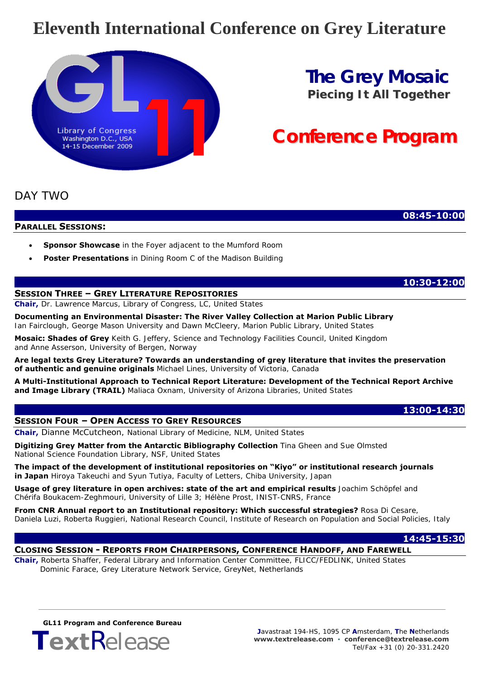## **Eleventh International Conference on Grey Literature**



## **The Grey Mosaic** *Piecing It All Together*

# **Conference Program**

## DAY TWO

 **08:45-10:00**

**PARALLEL SESSIONS:**

- **Sponsor Showcase** in the Foyer adjacent to the Mumford Room
- **Poster Presentations** in Dining Room C of the Madison Building

### **SESSION THREE – GREY LITERATURE REPOSITORIES**

**Chair,** *Dr. Lawrence Marcus, Library of Congress, LC, United States* 

**Documenting an Environmental Disaster: The River Valley Collection at Marion Public Library**  *Ian Fairclough, George Mason University and Dawn McCleery, Marion Public Library, United States* 

**Mosaic: Shades of Grey** *Keith G. Jeffery, Science and Technology Facilities Council, United Kingdom and Anne Asserson, University of Bergen, Norway* 

**Are legal texts Grey Literature? Towards an understanding of grey literature that invites the preservation of authentic and genuine originals** *Michael Lines, University of Victoria, Canada* 

**A Multi-Institutional Approach to Technical Report Literature: Development of the Technical Report Archive and Image Library (TRAIL)** *Maliaca Oxnam, University of Arizona Libraries, United States*

#### **SESSION FOUR – OPEN ACCESS TO GREY RESOURCES**

**Chair,** *Dianne McCutcheon, National Library of Medicine, NLM, United States* 

**Digitizing Grey Matter from the Antarctic Bibliography Collection** *Tina Gheen and Sue Olmsted National Science Foundation Library, NSF, United States* 

**The impact of the development of institutional repositories on "Kiyo" or institutional research journals in Japan** *Hiroya Takeuchi and Syun Tutiya, Faculty of Letters, Chiba University, Japan* 

**Usage of grey literature in open archives: state of the art and empirical results** *Joachim Schöpfel and Chérifa Boukacem-Zeghmouri, University of Lille 3; Hélène Prost, INIST-CNRS, France* 

**From CNR Annual report to an Institutional repository: Which successful strategies?** *Rosa Di Cesare, Daniela Luzi, Roberta Ruggieri, National Research Council, Institute of Research on Population and Social Policies, Italy* 

#### **14:45-15:30**

 **13:00-14:30** 

## **CLOSING SESSION - REPORTS FROM CHAIRPERSONS, CONFERENCE HANDOFF, AND FAREWELL**

**Chair,** *Roberta Shaffer, Federal Library and Information Center Committee, FLICC/FEDLINK, United States Dominic Farace, Grey Literature Network Service, GreyNet, Netherlands* 

**GL11 Program and Conference Bureau**



 **10:30-12:00**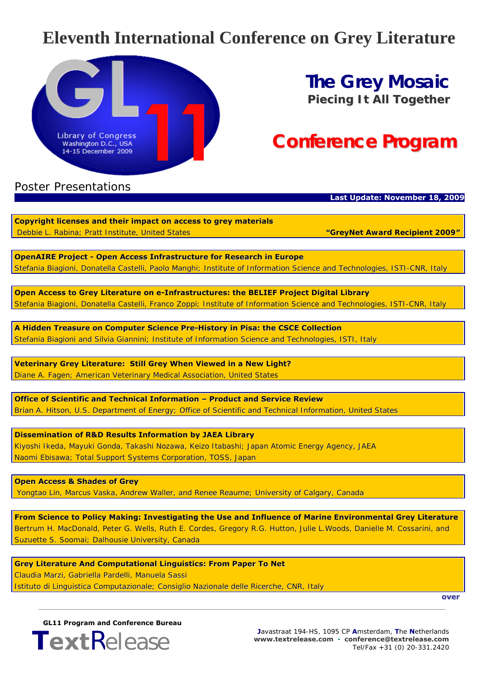## **Eleventh International Conference on Grey Literature**



## **The Grey Mosaic** *Piecing It All Together*

# **Conference Program**

## Poster Presentations

### **Last Update: November 18, 2009**

**Copyright licenses and their impact on access to grey materials** Debbie L. Rabina; Pratt Institute, United States *"GreyNet Award Recipient 2009"*

**OpenAIRE Project - Open Access Infrastructure for Research in Europe** Stefania Biagioni, Donatella Castelli, Paolo Manghi; Institute of Information Science and Technologies, ISTI-CNR, Italy

**Open Access to Grey Literature on e-Infrastructures: the BELIEF Project Digital Library** Stefania Biagioni, Donatella Castelli, Franco Zoppi; Institute of Information Science and Technologies, ISTI-CNR, Italy

**A Hidden Treasure on Computer Science Pre-History in Pisa: the CSCE Collection** Stefania Biagioni and Silvia Giannini; Institute of Information Science and Technologies, ISTI, Italy

**Veterinary Grey Literature: Still Grey When Viewed in a New Light?** Diane A. Fagen; American Veterinary Medical Association, United States

**Office of Scientific and Technical Information – Product and Service Review** Brian A. Hitson, U.S. Department of Energy; Office of Scientific and Technical Information, United States

**Dissemination of R&D Results Information by JAEA Library** Kiyoshi Ikeda, Mayuki Gonda, Takashi Nozawa, Keizo Itabashi; Japan Atomic Energy Agency, JAEA Naomi Ebisawa; Total Support Systems Corporation, TOSS, Japan

**Open Access & Shades of Grey** Yongtao Lin, Marcus Vaska, Andrew Waller, and Renee Reaume; University of Calgary, Canada

**From Science to Policy Making: Investigating the Use and Influence of Marine Environmental Grey Literature** Bertrum H. MacDonald, Peter G. Wells, Ruth E. Cordes, Gregory R.G. Hutton, Julie L.Woods, Danielle M. Cossarini, and Suzuette S. Soomai; Dalhousie University, Canada

**Grey Literature And Computational Linguistics: From Paper To Net** Claudia Marzi, Gabriella Pardelli, Manuela Sassi Istituto di Linguistica Computazionale; Consiglio Nazionale delle Ricerche, CNR, Italy

**over**

**GL11 Program and Conference Bureau**